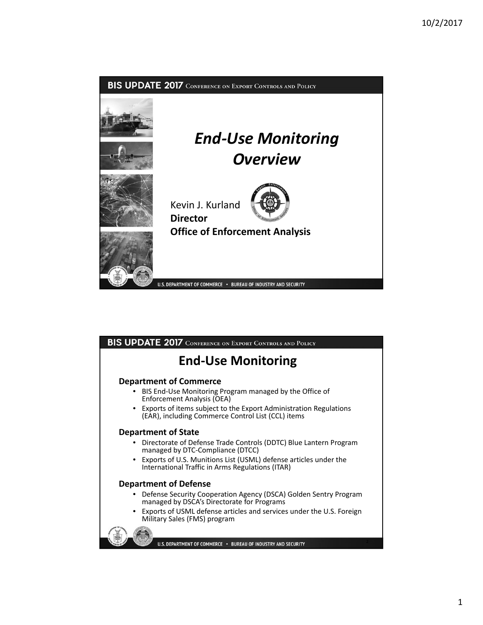

# BIS UPDATE 2017 CONFERENCE ON EXPORT CONTROLS AND POLICY

# **End‐Use Monitoring**

## **Department of Commerce**

- BIS End‐Use Monitoring Program managed by the Office of Enforcement Analysis (OEA)
- Exports of items subject to the Export Administration Regulations (EAR), including Commerce Control List (CCL) items

### **Department of State**

- Directorate of Defense Trade Controls (DDTC) Blue Lantern Program managed by DTC‐Compliance (DTCC)
- Exports of U.S. Munitions List (USML) defense articles under the International Traffic in Arms Regulations (ITAR)

### **Department of Defense**

- Defense Security Cooperation Agency (DSCA) Golden Sentry Program managed by DSCA's Directorate for Programs
- Exports of USML defense articles and services under the U.S. Foreign Military Sales (FMS) program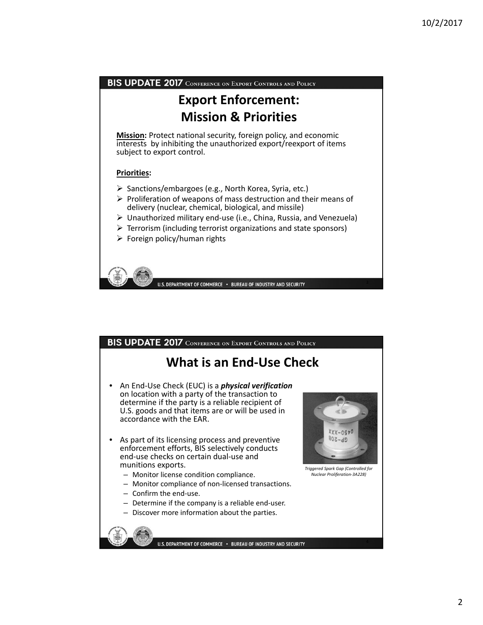

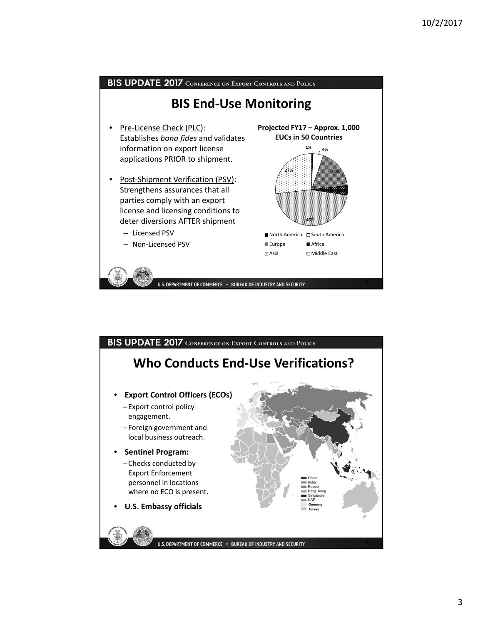

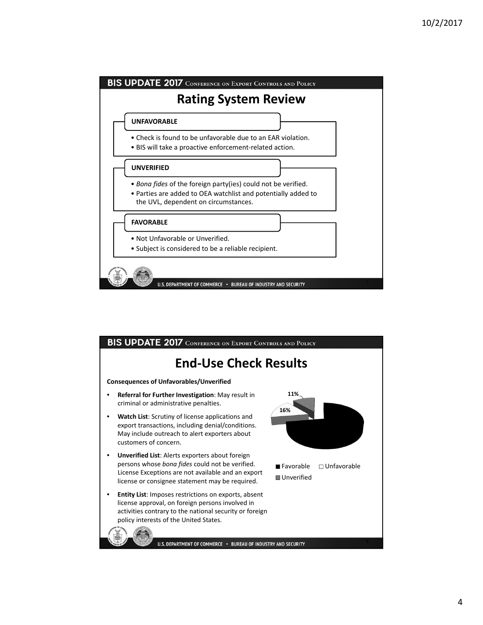

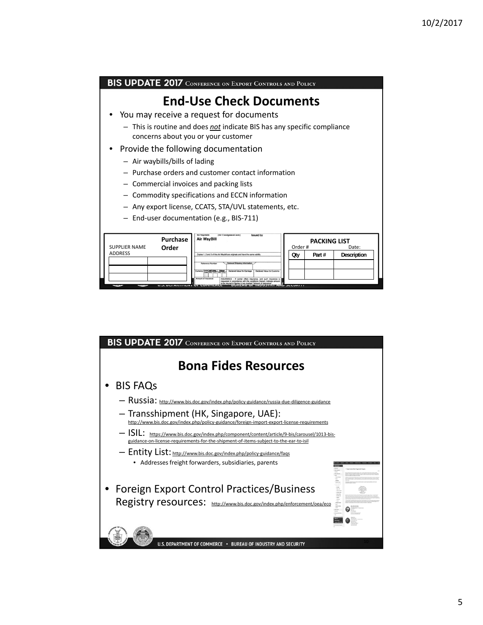9

| BIS UPDATE 2017 CONFERENCE ON EXPORT CONTROLS AND POLICY                                                              |                                         |       |             |
|-----------------------------------------------------------------------------------------------------------------------|-----------------------------------------|-------|-------------|
| <b>End-Use Check Documents</b>                                                                                        |                                         |       |             |
| • You may receive a request for documents                                                                             |                                         |       |             |
| - This is routine and does <i>not</i> indicate BIS has any specific compliance<br>concerns about you or your customer |                                         |       |             |
| Provide the following documentation                                                                                   |                                         |       |             |
| - Air waybills/bills of lading                                                                                        |                                         |       |             |
| - Purchase orders and customer contact information                                                                    |                                         |       |             |
| - Commercial invoices and packing lists                                                                               |                                         |       |             |
| - Commodity specifications and ECCN information                                                                       |                                         |       |             |
| - Any export license, CCATS, STA/UVL statements, etc.                                                                 |                                         |       |             |
| - End-user documentation (e.g., BIS-711)                                                                              |                                         |       |             |
|                                                                                                                       |                                         |       |             |
| <b>Air Consignment note</b><br><b>Issued by</b><br>Purchase<br><b>Air WayBill</b><br><b>SUPPLIER NAME</b><br>Order    | <b>PACKING LIST</b><br>Order #<br>Date: |       |             |
| <b>ADDRESS</b><br>Copies 1, 2 and 3 of this Air Waybill are originals                                                 | <b>Oty</b>                              | Part# | Description |